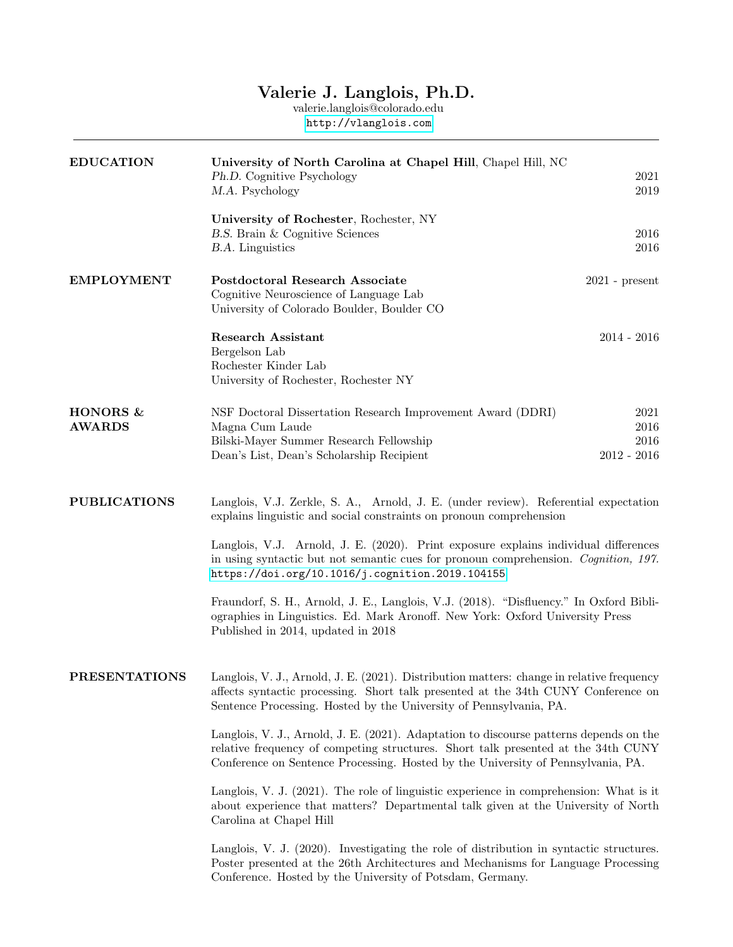## Valerie J. Langlois, Ph.D.

valerie.langlois@colorado.edu <http://vlanglois.com>

| <b>EDUCATION</b>          | University of North Carolina at Chapel Hill, Chapel Hill, NC<br>Ph.D. Cognitive Psychology<br>M.A. Psychology                                                                                                                                                                                                                                                                                                                                                                                                                                                                                                | 2021<br>2019                              |
|---------------------------|--------------------------------------------------------------------------------------------------------------------------------------------------------------------------------------------------------------------------------------------------------------------------------------------------------------------------------------------------------------------------------------------------------------------------------------------------------------------------------------------------------------------------------------------------------------------------------------------------------------|-------------------------------------------|
|                           | University of Rochester, Rochester, NY<br>B.S. Brain & Cognitive Sciences<br><b>B.A.</b> Linguistics                                                                                                                                                                                                                                                                                                                                                                                                                                                                                                         | 2016<br>2016                              |
| <b>EMPLOYMENT</b>         | <b>Postdoctoral Research Associate</b><br>Cognitive Neuroscience of Language Lab<br>University of Colorado Boulder, Boulder CO                                                                                                                                                                                                                                                                                                                                                                                                                                                                               | $2021$ - present                          |
|                           | <b>Research Assistant</b><br>Bergelson Lab<br>Rochester Kinder Lab<br>University of Rochester, Rochester NY                                                                                                                                                                                                                                                                                                                                                                                                                                                                                                  | $2014 - 2016$                             |
| HONORS &<br><b>AWARDS</b> | NSF Doctoral Dissertation Research Improvement Award (DDRI)<br>Magna Cum Laude<br>Bilski-Mayer Summer Research Fellowship<br>Dean's List, Dean's Scholarship Recipient                                                                                                                                                                                                                                                                                                                                                                                                                                       | 2021<br>$2016\,$<br>2016<br>$2012 - 2016$ |
| <b>PUBLICATIONS</b>       | Langlois, V.J. Zerkle, S. A., Arnold, J. E. (under review). Referential expectation<br>explains linguistic and social constraints on pronoun comprehension<br>Langlois, V.J. Arnold, J. E. (2020). Print exposure explains individual differences<br>in using syntactic but not semantic cues for pronoun comprehension. Cognition, 197.<br>https://doi.org/10.1016/j.cognition.2019.104155<br>Fraundorf, S. H., Arnold, J. E., Langlois, V.J. (2018). "Disfluency." In Oxford Bibli-<br>ographies in Linguistics. Ed. Mark Aronoff. New York: Oxford University Press<br>Published in 2014, updated in 2018 |                                           |
| <b>PRESENTATIONS</b>      | Langlois, V. J., Arnold, J. E. (2021). Distribution matters: change in relative frequency<br>affects syntactic processing. Short talk presented at the 34th CUNY Conference on<br>Sentence Processing. Hosted by the University of Pennsylvania, PA.<br>Langlois, V. J., Arnold, J. E. (2021). Adaptation to discourse patterns depends on the<br>relative frequency of competing structures. Short talk presented at the 34th CUNY                                                                                                                                                                          |                                           |
|                           | Conference on Sentence Processing. Hosted by the University of Pennsylvania, PA.<br>Langlois, V. J. (2021). The role of linguistic experience in comprehension: What is it<br>about experience that matters? Departmental talk given at the University of North<br>Carolina at Chapel Hill<br>Langlois, V. J. (2020). Investigating the role of distribution in syntactic structures.                                                                                                                                                                                                                        |                                           |
|                           | Poster presented at the 26th Architectures and Mechanisms for Language Processing<br>Conference. Hosted by the University of Potsdam, Germany.                                                                                                                                                                                                                                                                                                                                                                                                                                                               |                                           |